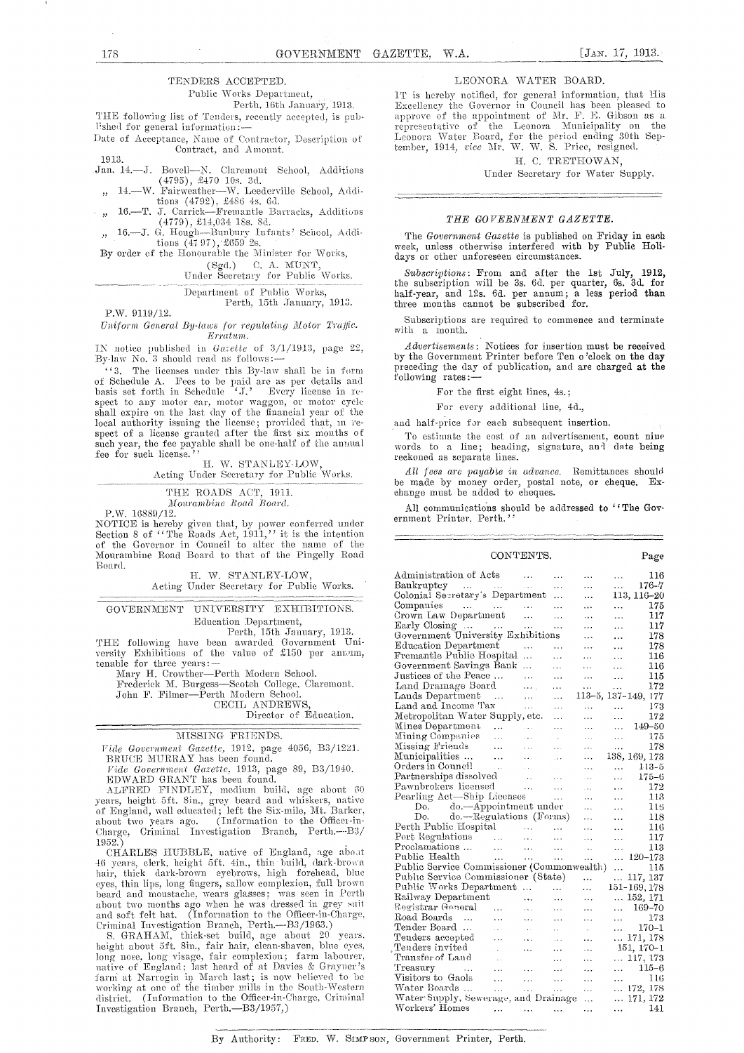#### TENDERS ACCEPTED.

Public Works Department,

Perth, 16th January, 1913. THE following list of Tenders, recently accepted, is publ'shed for general information :-

Date of Acceptance, Name of Contractor, Description of Contract, and Amount.

1913. Jan. 14.—J. Bovell—N. Claremont School, Additions<br>  $(4795)$ ,  $\pounds470$  10s. 3d.<br>  $n$  14.—W. Fairweather—W. Leederville School, Additions<br>  $(4792)$ ,  $\pounds486$  4s. 6d.<br>  $n$  16.—T. J. Carriek—Fremantle Barracks, Additions<br>  $(4$ 

By order of the Honourable the Minister for Works, (Sgd.) C. A. MUNT,<br>Under Secretary for Public Works.

Department of Public Works,<br>Perth, 15th January, 1913.

P.W. 9119/12.

Uniform General By-laws for regulating Motor Traffic. Erratum.

IN notice published in Gazette of 3/1/1913, page 22, By-law No. 3 should read as follows:—<br>"'3. The licenses under this By-law shall be in form

of Schedule A. Fees to be paid are as per details and basis set forth in Schedule 'J,' Every license in rebasis set total in seneature  $J$ . Every neense in respect to any motor car, motor waggon, or motor cycle<br>shall expire on the last day of the financial year of the<br>local authority issuing the license; provided that, in re-<br> summer and the true area of such year, the fee payable shall be one-half of the annual fee for such license."

H. W. STANLEY-LOW. Acting Under Secretary for Public Works.

THE ROADS ACT, 1911. Mourambine Road Board.

P.W. 16889/12.

NOTICE is hereby given that, by power conferred under<br>Section 8 of "The Roads Act, 1911," it is the intention<br>of the Governor in Council to alter the name of the Mourambine Road Board to that of the Pingelly Road Board.

H. W. STANLEY-LOW, Acting Under Secretary for Public Works.

UNIVERSITY EXHIBITIONS. **GOVERNMENT** Education Department,

Perth, 15th January, 1913.<br>THE following have been awarded Government University Exhibitions of the value of £150 per annum, tenable for three years:-

Mary H. Crowther-Perth Modern School.

Frederick M. Burgess-Scotch College, Claremont.<br>John F. Filmer-Perth Modern School. CECIL ANDREWS

Director of Education.

#### MISSING FRIENDS.

Vide Government Gazette, 1912, page 4056, B3/1221. BRUCE MURRAY has been found.

Fide Government Gazette, 1913, page 89, B3/1940.<br>EDWARD GRANT has been found.

ALFRED FINDLEY, medium build, age about 60 years, height 5ft. 8in., grey beard and whiskers, native of England, well educated; left the Six-mile, Mt. Barker, about two years ago. (Information to the Officen-in-Charge, Criminal Investigation Branch, Perth. B3/ 1952.

CHARLES HUBBLE, native of England, age about 46 years, elerk, height 5ft. 4in., thin build, dark-brown hair, thick dark-brown eyebrows, high forehead, blue eyes, thin lips, long fingers, sallow complexion, full brown beard and moustache, was seen in Perth<br>about two months ago when he was dressed in grey suit<br>and soft felt hat. (Information to the Officer-in-Charge,<br>Criminal Investigation Branch, Perth.—B3/1963.)<br>Criminal Investigation

Criminal Investigation Branch, Perth.—B3/1963.)<br>
S. GRAHAM, thick-set build, age about 20 years,<br>
height about 5ft. Sin., fair hair, clean-shaven, blue eyes,<br>
long nose, long visage, fair complexion; farm labourer,<br>
nativ district. (Information to the Officer-in-Charge, Criminal Investigation Branch, Perth.—B3/1957,)

#### LEONORA WATER BOARD.

IT is hereby notified, for general information, that His Excellency the Governor in Council has been pleased to approve of the appointment of Mr. F. G. Gibson as a representative of the Leonora Municipality on the Leonora Water Board, for the period ending 30th September, 1914, *vice* Mr. W. W. S. Price, resigned.

H. C. TRETHOWAN,

Under Secretary for Water Supply.

#### THE GOVERNMENT GAZETTE.

The Government Gazette is published on Friday in each week, unless otherwise interfered with by Public Holidays or other unforeseen circumstances.

Subscriptions: From and after the 1st July, 1912, the subscription will be 3s. 6d. per quarter, 6s. 3d. for half-year, and 12s. 6d. per annum; a less period than three months cannot be subscribed for.

Subscriptions are required to commence and terminate with a month.

Advertisements: Notices for insertion must be received by the Government Printer before Ten o'clock on the day preceding the day of publication, and are charged at the following rates:-

For the first eight lines, 4s.;

For every additional line, 4d.,

and half-price for each subsequent insertion.

To estimate the cost of an advertisement, count nine words to a line; heading, signature, and date being reckoned as separate lines.

All fees are payable in advance. Remittances should the made by money order, postal note, or cheque. Ex-<br>change must be added to cheques.

All communications should be addressed to "The Government Printer, Perth.'

Page

#### CONTENTS.

| Administration of Acts                                 |                                                           | .                                                         | .         | .                    | .         | 116                 |
|--------------------------------------------------------|-----------------------------------------------------------|-----------------------------------------------------------|-----------|----------------------|-----------|---------------------|
| Bankruptcy                                             |                                                           | $\ddotsc$                                                 | $\ddots$  | .                    | $\cdots$  | $176 - 7$           |
| Colonial Secretary's Department                        |                                                           |                                                           | $\ddotsc$ |                      |           | 113, 116–20         |
| Companies                                              |                                                           | .                                                         | .         | .                    | .         | 175                 |
| Crown Law Department                                   |                                                           | $\ddotsc$                                                 | $\ddotsc$ | $\cdots$             | $\ddotsc$ | 117                 |
| Early Closing                                          |                                                           | .                                                         | .         | $\cdots$             | .         | 117                 |
| Government University Exhibitions                      |                                                           |                                                           |           | .                    | .         | 178                 |
| Education Department                                   |                                                           |                                                           | .         | $\cdots$             | $\cdots$  | 178                 |
| Fremantle Public Hospital                              |                                                           | $\ddotsc$                                                 | .         | $\cdots$             | .         | 116                 |
| Government Savings Bank                                |                                                           | .                                                         | .         | .                    | $\cdots$  | 116                 |
| Justices of the Peace                                  |                                                           | $\cdots$                                                  | $\cdots$  | .                    | $\ddotsc$ | 115                 |
| Land Drainage Board                                    |                                                           | .                                                         | .         | $\ddotsc$            | .         | 172                 |
| Lands Department                                       | $\cdots$                                                  | .                                                         | $\cdots$  |                      |           | 113–5, 137–149, 177 |
| Land and Income Tax                                    |                                                           | .                                                         | .         | .                    | .         | 173                 |
| Metropolitan Water Supply, etc.                        |                                                           |                                                           | $\cdots$  | .                    | $\ddotsc$ | 172                 |
| Mines Department                                       | $\ddotsc$                                                 | $\sim$ 4 $\sigma$                                         | .         | .                    | .         | 149-50              |
| Mining Companies                                       | $\ddotsc$                                                 | $\cdots$                                                  | $\cdot$   | .                    | $\ddotsc$ | 175                 |
| Missing Friends                                        | .                                                         | $\ddotsc$                                                 | i.        | $\cdots$             | .         | 178                 |
| Municipalities                                         | $\ddotsc$                                                 | $\ddotsc$                                                 | $\sim$    | .                    |           | 138, 169, 173       |
| Orders in Council                                      | $\sim$ $\sim$                                             | $\sim$                                                    | $\sim$    | .                    | $\cdots$  | $113 - 5$           |
| Partnerships dissolved                                 |                                                           | $\cdots$                                                  | .         | $\ddotsc$            | $\cdots$  | $175 - 6$           |
| Pawnbrokers licensed                                   |                                                           | $\sim 100$                                                | $\ddotsc$ | $\cdots$             | $\cdots$  | 172                 |
| Pearling Act—Ship Licenses                             |                                                           |                                                           | $\ldots$  | .                    | .         | 113                 |
| $Do.$ do $-$ Appointment under                         |                                                           |                                                           |           | .                    | .         | 115                 |
| do.—Regulations (Forms)<br>Do. I                       |                                                           |                                                           |           | .                    | .         | 118                 |
| Perth Public Hospital                                  |                                                           | $\mathcal{L}_{\mathcal{F}}$ , $\mathcal{L}_{\mathcal{F}}$ | $\ddotsc$ | .                    | .         | 116                 |
| Port Regulations                                       | $\mathcal{L}_{\text{max}}$ and $\mathcal{L}_{\text{max}}$ | $\ddotsc$                                                 | .         | $\cdots$             | $\cdots$  | 117                 |
| Proclamations                                          | $\ddotsc$                                                 | $\ldots$                                                  | $\cdots$  | $\cdots$             | $\ddotsc$ | 113                 |
| Public Health                                          | $\ddotsc$                                                 | $\sim 100$                                                | $\ddotsc$ | .                    | $\ddotsc$ | $120 - 173$         |
| Public Service Commissioner (Commonwealth)             |                                                           |                                                           |           |                      | .         | 115                 |
| Public Service Commissioner (State)<br>117, 137<br>.   |                                                           |                                                           |           |                      |           |                     |
| Public Works Department                                |                                                           |                                                           | $\cdots$  | .                    |           | 151-169, 178        |
| Railway Department                                     |                                                           |                                                           | $\ddotsc$ | $\cdots$             |           | 152, 171            |
| Registrar General                                      | $\cdots$                                                  | .                                                         | .         |                      | $\ddotsc$ | 169-70              |
| Road Boards<br>$\sim$                                  | $\ddotsc$                                                 |                                                           |           | .                    |           | 173                 |
| Tender Board                                           |                                                           | .                                                         | .         | .                    | $\cdots$  | $170 - 1$           |
| Tenders accepted                                       | $\mathbf{r}$                                              | $\sim$                                                    | Ш.        | $\ddot{\phantom{0}}$ | $\ldots$  | $\dots$ 171, 178    |
| Tenders invited                                        | $\cdots$                                                  | .                                                         | $\ldots$  | .                    |           |                     |
| Transfer of Land                                       | o.                                                        | .                                                         | .         | Щ,                   |           | 151, 170-1          |
|                                                        | $\sim$                                                    |                                                           | .         | .                    |           | $\dots$ 117, 173    |
| Treasury<br>$\sim 100$ km $^{-1}$<br>Visitors to Gaols | .                                                         | $\ddotsc$                                                 | $\cdots$  |                      | $\cdots$  | $115 - 6$           |
| Water Boards                                           | $\ddotsc$                                                 | $\ddotsc$                                                 | $\ddotsc$ | .                    | .         | 116                 |
|                                                        | $\ddotsc$                                                 | $\sim$ $\sim$ $\sim$                                      | $\ldots$  | $\ddotsc$            |           | $\ldots$ 172, 178   |
| Water Supply, Sewerage, and Drainage                   |                                                           |                                                           |           | $\ddotsc$            |           | $\ldots$ 171, 172   |
| Workers' Homes                                         |                                                           | $\mathbf{r}$ and $\mathbf{r}$ are the set of $\mathbf{r}$ |           | $\cdots$             | $\cdots$  | 141                 |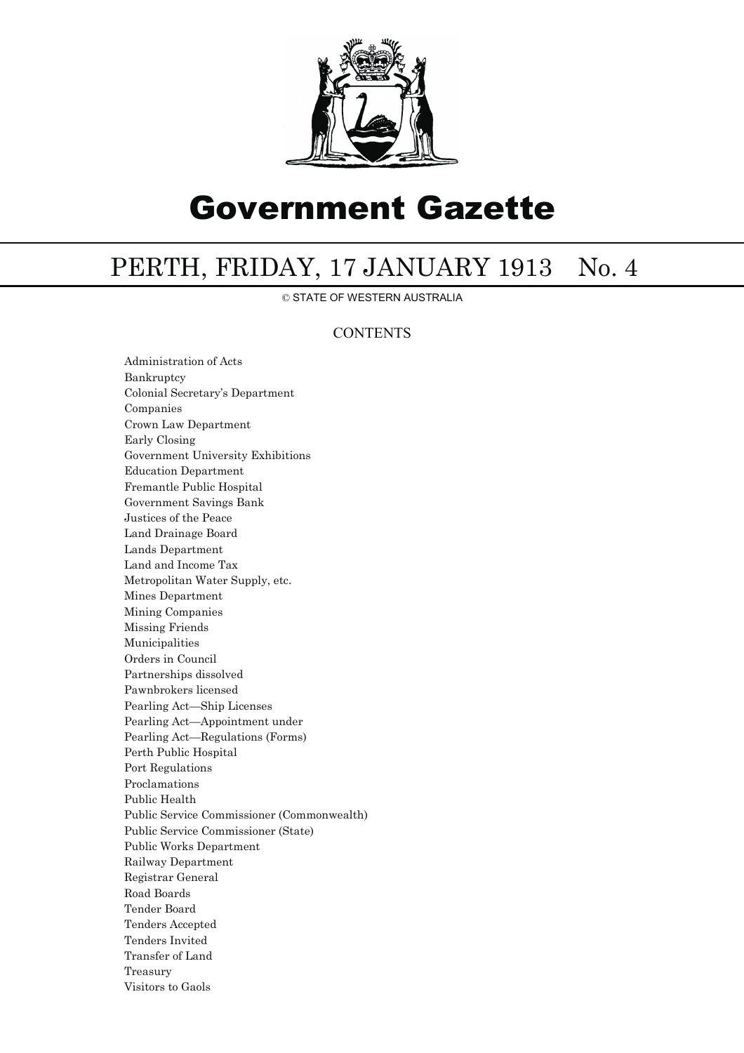

# Government Gazette

## PERTH, FRIDAY, 17 JANUARY 1913 No. 4

© STATE OF WESTERN AUSTRALIA

### **CONTENTS**

Administration of Acts Bankruptcy Colonial Secretary's Department Companies Crown Law Department Early Closing Government University Exhibitions Education Department Fremantle Public Hospital Government Savings Bank Justices of the Peace Land Drainage Board Lands Department Land and Income Tax Metropolitan Water Supply, etc. Mines Department Mining Companies Missing Friends Municipalities Orders in Council Partnerships dissolved Pawnbrokers licensed Pearling Act—Ship Licenses Pearling Act—Appointment under Pearling Act—Regulations (Forms) Perth Public Hospital Port Regulations Proclamations Public Health Public Service Commissioner (Commonwealth) Public Service Commissioner (State) Public Works Department Railway Department Registrar General Road Boards Tender Board Tenders Accepted Tenders Invited Transfer of Land Treasury Visitors to Gaols